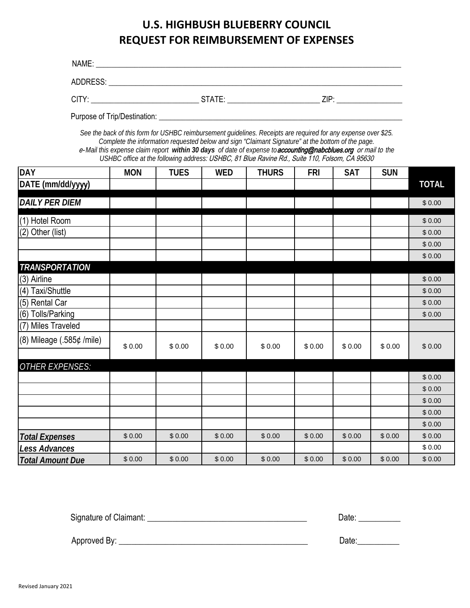## **U.S. HIGHBUSH BLUEBERRY COUNCIL REQUEST FOR REIMBURSEMENT OF EXPENSES**

| NAME:    |        |      |
|----------|--------|------|
| ADDRESS: |        |      |
| CITY:    | STATE: | 7IP· |

Purpose of Trip/Destination: \_\_\_\_\_\_\_\_\_\_\_\_\_\_\_\_\_\_\_\_\_\_\_\_\_\_\_\_\_\_\_\_\_\_\_\_\_\_\_\_\_\_\_\_\_\_\_\_\_\_\_\_\_\_\_\_\_\_\_\_\_\_\_

*See the back of this form for USHBC reimbursement guidelines. Receipts are required for any expense over \$25. Complete the information requested below and sign "Claimant Signature" at the bottom of the page.* e-*Mail this expense claim report within 30 days of date of expense to* accounting@nabcblues.org or mail to *the USHBC office at the following address:*USHBC, 81 Blue Ravine Rd., Suite 110, Folsom, CA 95630

| <b>DAY</b>                     | <b>MON</b> | <b>TUES</b> | <b>WED</b> | <b>THURS</b> | <b>FRI</b> | <b>SAT</b> | <b>SUN</b> |              |
|--------------------------------|------------|-------------|------------|--------------|------------|------------|------------|--------------|
| DATE (mm/dd/yyyy)              |            |             |            |              |            |            |            | <b>TOTAL</b> |
| <b>DAILY PER DIEM</b>          |            |             |            |              |            |            |            | \$0.00       |
|                                |            |             |            |              |            |            |            |              |
| (1) Hotel Room                 |            |             |            |              |            |            |            | \$0.00       |
| (2) Other (list)               |            |             |            |              |            |            |            | \$0.00       |
|                                |            |             |            |              |            |            |            | \$0.00       |
|                                |            |             |            |              |            |            |            | \$0.00       |
| <b>TRANSPORTATION</b>          |            |             |            |              |            |            |            |              |
| (3) Airline                    |            |             |            |              |            |            |            | \$0.00       |
| (4) Taxi/Shuttle               |            |             |            |              |            |            |            | \$0.00       |
| (5) Rental Car                 |            |             |            |              |            |            |            | \$0.00       |
| $\overline{(6)}$ Tolls/Parking |            |             |            |              |            |            |            | \$0.00       |
| (7) Miles Traveled             |            |             |            |              |            |            |            |              |
| $(8)$ Mileage $(.585¢$ /mile)  | \$0.00     | \$0.00      | \$0.00     | \$0.00       | \$0.00     | \$0.00     | \$0.00     | \$0.00       |
| <b>OTHER EXPENSES:</b>         |            |             |            |              |            |            |            |              |
|                                |            |             |            |              |            |            |            | \$0.00       |
|                                |            |             |            |              |            |            |            | \$0.00       |
|                                |            |             |            |              |            |            |            | \$0.00       |
|                                |            |             |            |              |            |            |            | \$0.00       |
|                                |            |             |            |              |            |            |            | \$0.00       |
| <b>Total Expenses</b>          | \$0.00     | \$0.00      | \$0.00     | \$0.00       | \$0.00     | \$0.00     | \$0.00     | \$0.00       |
| Less Advances                  |            |             |            |              |            |            |            | \$0.00       |
| <b>Total Amount Due</b>        | \$0.00     | \$0.00      | \$0.00     | \$0.00       | \$0.00     | \$0.00     | \$0.00     | \$0.00       |

Signature of Claimant: \_\_\_\_\_\_\_\_\_\_\_\_\_\_\_\_\_\_\_\_\_\_\_\_\_\_\_\_\_\_\_\_\_\_\_\_\_\_ Date: \_\_\_\_\_\_\_\_\_\_

Approved By: \_\_\_\_\_\_\_\_\_\_\_\_\_\_\_\_\_\_\_\_\_\_\_\_\_\_\_\_\_\_\_\_\_\_\_\_\_\_\_\_\_\_\_\_\_ Date:\_\_\_\_\_\_\_\_\_\_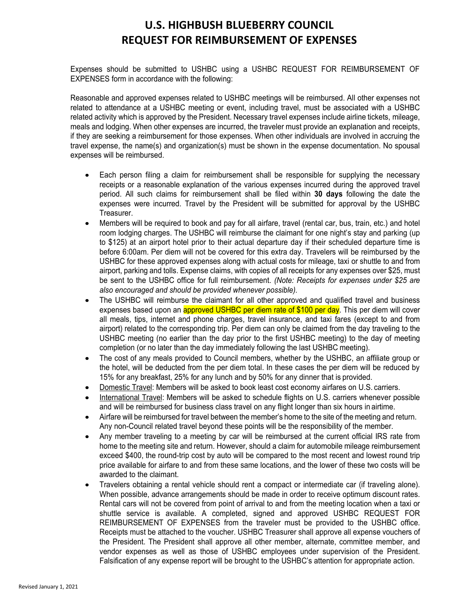### **U.S. HIGHBUSH BLUEBERRY COUNCIL REQUEST FOR REIMBURSEMENT OF EXPENSES**

Expenses should be submitted to USHBC using a USHBC REQUEST FOR REIMBURSEMENT OF EXPENSES form in accordance with the following:

Reasonable and approved expenses related to USHBC meetings will be reimbursed. All other expenses not related to attendance at a USHBC meeting or event, including travel, must be associated with a USHBC related activity which is approved by the President. Necessary travel expenses include airline tickets, mileage, meals and lodging. When other expenses are incurred, the traveler must provide an explanation and receipts, if they are seeking a reimbursement for those expenses. When other individuals are involved in accruing the travel expense, the name(s) and organization(s) must be shown in the expense documentation. No spousal expenses will be reimbursed.

- Each person filing a claim for reimbursement shall be responsible for supplying the necessary receipts or a reasonable explanation of the various expenses incurred during the approved travel period. All such claims for reimbursement shall be filed within **30 days** following the date the expenses were incurred. Travel by the President will be submitted for approval by the USHBC Treasurer.
- Members will be required to book and pay for all airfare, travel (rental car, bus, train, etc.) and hotel room lodging charges. The USHBC will reimburse the claimant for one night's stay and parking (up to \$125) at an airport hotel prior to their actual departure day if their scheduled departure time is before 6:00am. Per diem will not be covered for this extra day. Travelers will be reimbursed by the USHBC for these approved expenses along with actual costs for mileage, taxi or shuttle to and from airport, parking and tolls. Expense claims, with copies of all receipts for any expenses over \$25, must be sent to the USHBC office for full reimbursement. *(Note: Receipts for expenses under \$25 are also encouraged and should be provided whenever possible).*
- The USHBC will reimburse the claimant for all other approved and qualified travel and business expenses based upon an **approved USHBC per diem rate of \$100 per day**. This per diem will cover all meals, tips, internet and phone charges, travel insurance, and taxi fares (except to and from airport) related to the corresponding trip. Per diem can only be claimed from the day traveling to the USHBC meeting (no earlier than the day prior to the first USHBC meeting) to the day of meeting completion (or no later than the day immediately following the last USHBC meeting).
- The cost of any meals provided to Council members, whether by the USHBC, an affiliate group or the hotel, will be deducted from the per diem total. In these cases the per diem will be reduced by 15% for any breakfast, 25% for any lunch and by 50% for any dinner that is provided.
- Domestic Travel: Members will be asked to book least cost economy airfares on U.S. carriers.
- International Travel: Members will be asked to schedule flights on U.S. carriers whenever possible and will be reimbursed for business class travel on any flight longer than six hours in airtime.
- Airfare will be reimbursed for travel between the member's home to the site of the meeting and return. Any non-Council related travel beyond these points will be the responsibility of the member.
- Any member traveling to a meeting by car will be reimbursed at the current official IRS rate from home to the meeting site and return. However, should a claim for automobile mileage reimbursement exceed \$400, the round-trip cost by auto will be compared to the most recent and lowest round trip price available for airfare to and from these same locations, and the lower of these two costs will be awarded to the claimant.
- Travelers obtaining a rental vehicle should rent a compact or intermediate car (if traveling alone). When possible, advance arrangements should be made in order to receive optimum discount rates. Rental cars will not be covered from point of arrival to and from the meeting location when a taxi or shuttle service is available. A completed, signed and approved USHBC REQUEST FOR REIMBURSEMENT OF EXPENSES from the traveler must be provided to the USHBC office. Receipts must be attached to the voucher. USHBC Treasurer shall approve all expense vouchers of the President. The President shall approve all other member, alternate, committee member, and vendor expenses as well as those of USHBC employees under supervision of the President. Falsification of any expense report will be brought to the USHBC's attention for appropriate action.